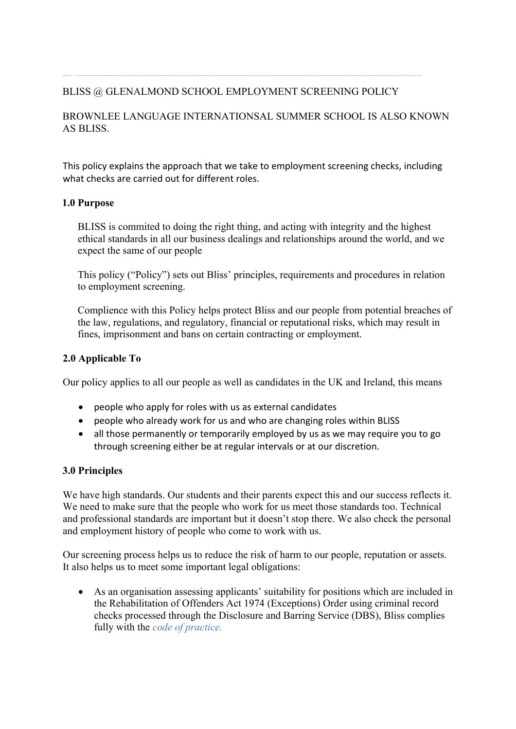# BLISS @ GLENALMOND SCHOOL EMPLOYMENT SCREENING POLICY

# BROWNLEE LANGUAGE INTERNATIONSAL SUMMER SCHOOL IS ALSO KNOWN AS BLISS.

This policy explains the approach that we take to employment screening checks, including what checks are carried out for different roles.

### **1.0 Purpose**

BLISS is commited to doing the right thing, and acting with integrity and the highest ethical standards in all our business dealings and relationships around the world, and we expect the same of our people

This policy ("Policy") sets out Bliss' principles, requirements and procedures in relation to employment screening.

Complience with this Policy helps protect Bliss and our people from potential breaches of the law, regulations, and regulatory, financial or reputational risks, which may result in fines, imprisonment and bans on certain contracting or employment.

#### **2.0 Applicable To**

Our policy applies to all our people as well as candidates in the UK and Ireland, this means

- people who apply for roles with us as external candidates
- people who already work for us and who are changing roles within BLISS
- all those permanently or temporarily employed by us as we may require you to go through screening either be at regular intervals or at our discretion.

#### **3.0 Principles**

We have high standards. Our students and their parents expect this and our success reflects it. We need to make sure that the people who work for us meet those standards too. Technical and professional standards are important but it doesn't stop there. We also check the personal and employment history of people who come to work with us.

Our screening process helps us to reduce the risk of harm to our people, reputation or assets. It also helps us to meet some important legal obligations:

• As an organisation assessing applicants' suitability for positions which are included in the Rehabilitation of Offenders Act 1974 (Exceptions) Order using criminal record checks processed through the Disclosure and Barring Service (DBS), Bliss complies fully with the *code of practice.*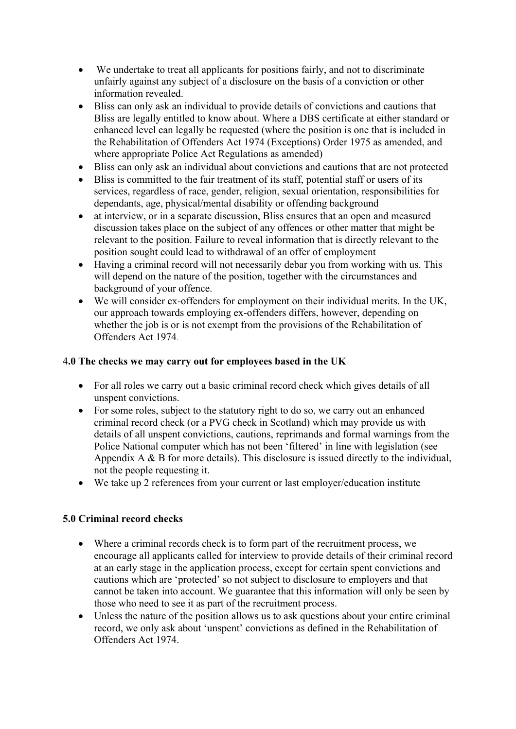- We undertake to treat all applicants for positions fairly, and not to discriminate unfairly against any subject of a disclosure on the basis of a conviction or other information revealed.
- Bliss can only ask an individual to provide details of convictions and cautions that Bliss are legally entitled to know about. Where a DBS certificate at either standard or enhanced level can legally be requested (where the position is one that is included in the Rehabilitation of Offenders Act 1974 (Exceptions) Order 1975 as amended, and where appropriate Police Act Regulations as amended)
- Bliss can only ask an individual about convictions and cautions that are not protected
- Bliss is committed to the fair treatment of its staff, potential staff or users of its services, regardless of race, gender, religion, sexual orientation, responsibilities for dependants, age, physical/mental disability or offending background
- at interview, or in a separate discussion, Bliss ensures that an open and measured discussion takes place on the subject of any offences or other matter that might be relevant to the position. Failure to reveal information that is directly relevant to the position sought could lead to withdrawal of an offer of employment
- Having a criminal record will not necessarily debar you from working with us. This will depend on the nature of the position, together with the circumstances and background of your offence.
- We will consider ex-offenders for employment on their individual merits. In the UK, our approach towards employing ex-offenders differs, however, depending on whether the job is or is not exempt from the provisions of the Rehabilitation of Offenders Act 1974.

### 4**.0 The checks we may carry out for employees based in the UK**

- For all roles we carry out a basic criminal record check which gives details of all unspent convictions.
- For some roles, subject to the statutory right to do so, we carry out an enhanced criminal record check (or a PVG check in Scotland) which may provide us with details of all unspent convictions, cautions, reprimands and formal warnings from the Police National computer which has not been 'filtered' in line with legislation (see Appendix A & B for more details). This disclosure is issued directly to the individual, not the people requesting it.
- We take up 2 references from your current or last employer/education institute

# **5.0 Criminal record checks**

- Where a criminal records check is to form part of the recruitment process, we encourage all applicants called for interview to provide details of their criminal record at an early stage in the application process, except for certain spent convictions and cautions which are 'protected' so not subject to disclosure to employers and that cannot be taken into account. We guarantee that this information will only be seen by those who need to see it as part of the recruitment process.
- Unless the nature of the position allows us to ask questions about your entire criminal record, we only ask about 'unspent' convictions as defined in the Rehabilitation of Offenders Act 1974.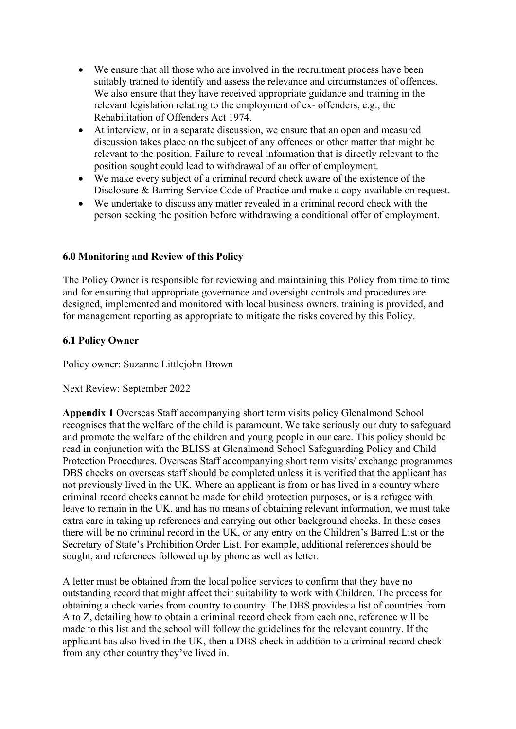- We ensure that all those who are involved in the recruitment process have been suitably trained to identify and assess the relevance and circumstances of offences. We also ensure that they have received appropriate guidance and training in the relevant legislation relating to the employment of ex- offenders, e.g., the Rehabilitation of Offenders Act 1974.
- At interview, or in a separate discussion, we ensure that an open and measured discussion takes place on the subject of any offences or other matter that might be relevant to the position. Failure to reveal information that is directly relevant to the position sought could lead to withdrawal of an offer of employment.
- We make every subject of a criminal record check aware of the existence of the Disclosure & Barring Service Code of Practice and make a copy available on request.
- We undertake to discuss any matter revealed in a criminal record check with the person seeking the position before withdrawing a conditional offer of employment.

# **6.0 Monitoring and Review of this Policy**

The Policy Owner is responsible for reviewing and maintaining this Policy from time to time and for ensuring that appropriate governance and oversight controls and procedures are designed, implemented and monitored with local business owners, training is provided, and for management reporting as appropriate to mitigate the risks covered by this Policy.

# **6.1 Policy Owner**

Policy owner: Suzanne Littlejohn Brown

Next Review: September 2022

**Appendix 1** Overseas Staff accompanying short term visits policy Glenalmond School recognises that the welfare of the child is paramount. We take seriously our duty to safeguard and promote the welfare of the children and young people in our care. This policy should be read in conjunction with the BLISS at Glenalmond School Safeguarding Policy and Child Protection Procedures. Overseas Staff accompanying short term visits/ exchange programmes DBS checks on overseas staff should be completed unless it is verified that the applicant has not previously lived in the UK. Where an applicant is from or has lived in a country where criminal record checks cannot be made for child protection purposes, or is a refugee with leave to remain in the UK, and has no means of obtaining relevant information, we must take extra care in taking up references and carrying out other background checks. In these cases there will be no criminal record in the UK, or any entry on the Children's Barred List or the Secretary of State's Prohibition Order List. For example, additional references should be sought, and references followed up by phone as well as letter.

A letter must be obtained from the local police services to confirm that they have no outstanding record that might affect their suitability to work with Children. The process for obtaining a check varies from country to country. The DBS provides a list of countries from A to Z, detailing how to obtain a criminal record check from each one, reference will be made to this list and the school will follow the guidelines for the relevant country. If the applicant has also lived in the UK, then a DBS check in addition to a criminal record check from any other country they've lived in.